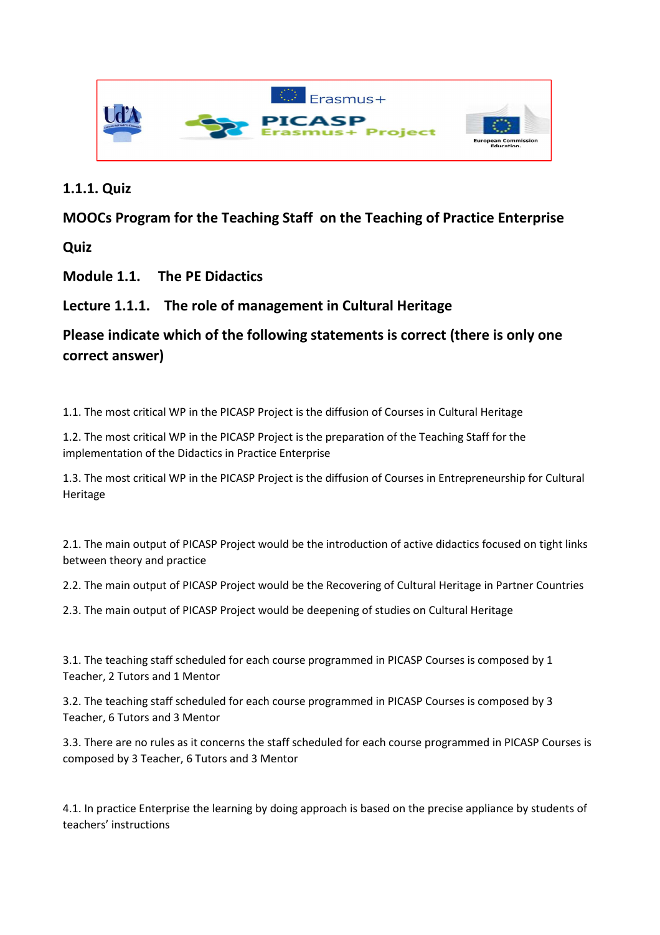

## **1.1.1. Quiz**

## **MOOCs Program for the Teaching Staff on the Teaching of Practice Enterprise**

**Quiz** 

**Module 1.1. The PE Didactics** 

**Lecture 1.1.1. The role of management in Cultural Heritage** 

## **Please indicate which of the following statements is correct (there is only one correct answer)**

1.1. The most critical WP in the PICASP Project is the diffusion of Courses in Cultural Heritage

1.2. The most critical WP in the PICASP Project is the preparation of the Teaching Staff for the implementation of the Didactics in Practice Enterprise

1.3. The most critical WP in the PICASP Project is the diffusion of Courses in Entrepreneurship for Cultural Heritage

2.1. The main output of PICASP Project would be the introduction of active didactics focused on tight links between theory and practice

2.2. The main output of PICASP Project would be the Recovering of Cultural Heritage in Partner Countries

2.3. The main output of PICASP Project would be deepening of studies on Cultural Heritage

3.1. The teaching staff scheduled for each course programmed in PICASP Courses is composed by 1 Teacher, 2 Tutors and 1 Mentor

3.2. The teaching staff scheduled for each course programmed in PICASP Courses is composed by 3 Teacher, 6 Tutors and 3 Mentor

3.3. There are no rules as it concerns the staff scheduled for each course programmed in PICASP Courses is composed by 3 Teacher, 6 Tutors and 3 Mentor

4.1. In practice Enterprise the learning by doing approach is based on the precise appliance by students of teachers' instructions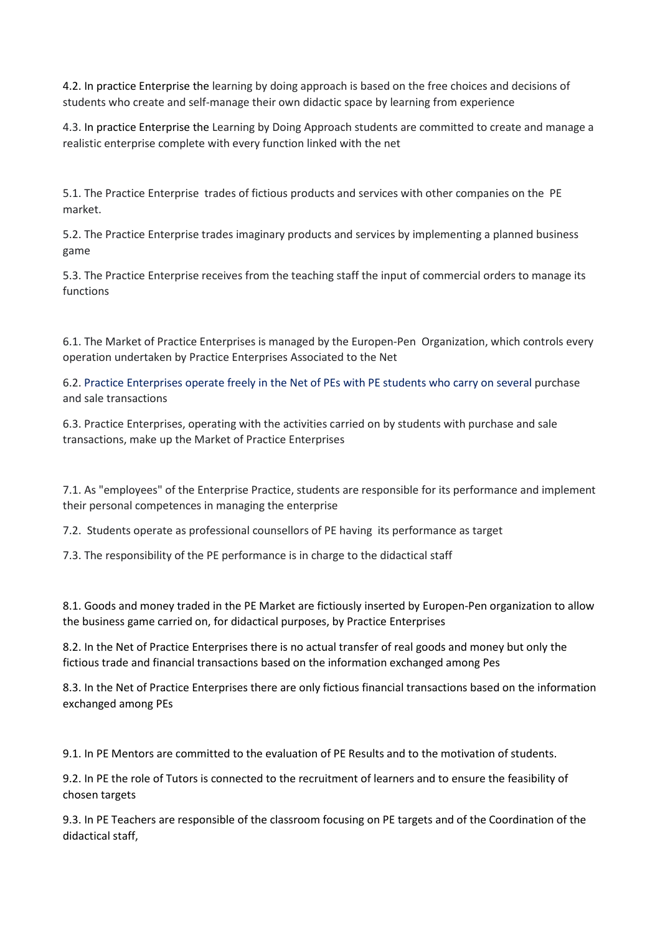4.2. In practice Enterprise the learning by doing approach is based on the free choices and decisions of students who create and self-manage their own didactic space by learning from experience

4.3. In practice Enterprise the Learning by Doing Approach students are committed to create and manage a realistic enterprise complete with every function linked with the net

5.1. The Practice Enterprise trades of fictious products and services with other companies on the PE market.

5.2. The Practice Enterprise trades imaginary products and services by implementing a planned business game

5.3. The Practice Enterprise receives from the teaching staff the input of commercial orders to manage its functions

6.1. The Market of Practice Enterprises is managed by the Europen-Pen Organization, which controls every operation undertaken by Practice Enterprises Associated to the Net

6.2. Practice Enterprises operate freely in the Net of PEs with PE students who carry on several purchase and sale transactions

6.3. Practice Enterprises, operating with the activities carried on by students with purchase and sale transactions, make up the Market of Practice Enterprises

7.1. As "employees" of the Enterprise Practice, students are responsible for its performance and implement their personal competences in managing the enterprise

7.2. Students operate as professional counsellors of PE having its performance as target

7.3. The responsibility of the PE performance is in charge to the didactical staff

8.1. Goods and money traded in the PE Market are fictiously inserted by Europen-Pen organization to allow the business game carried on, for didactical purposes, by Practice Enterprises

8.2. In the Net of Practice Enterprises there is no actual transfer of real goods and money but only the fictious trade and financial transactions based on the information exchanged among Pes

8.3. In the Net of Practice Enterprises there are only fictious financial transactions based on the information exchanged among PEs

9.1. In PE Mentors are committed to the evaluation of PE Results and to the motivation of students.

9.2. In PE the role of Tutors is connected to the recruitment of learners and to ensure the feasibility of chosen targets

9.3. In PE Teachers are responsible of the classroom focusing on PE targets and of the Coordination of the didactical staff,